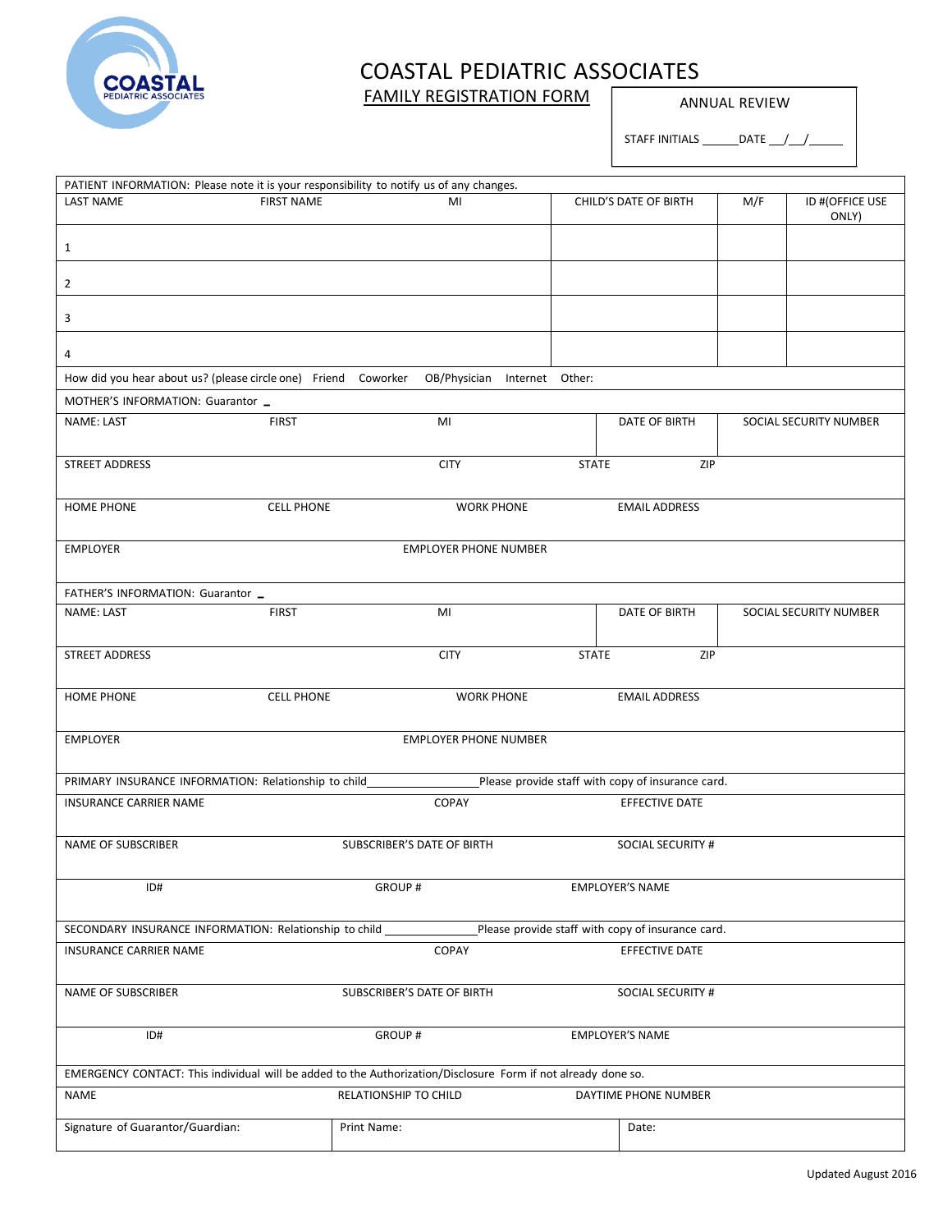

### FAMILY REGISTRATION FORM **ANNUAL REVIEW**

STAFF INITIALS  $\_\_\_\$ DATE  $\_\_\_\_\_\_\_\_\_\_\$ 

| PATIENT INFORMATION: Please note it is your responsibility to notify us of any changes.<br><b>FIRST NAME</b><br><b>LAST NAME</b><br>M/F<br>ID #(OFFICE USE<br>MI<br>CHILD'S DATE OF BIRTH<br>ONLY)<br>$\mathbf{1}$<br>$\overline{2}$<br>3<br>4<br>How did you hear about us? (please circle one) Friend Coworker<br>OB/Physician Internet Other:<br>MOTHER'S INFORMATION: Guarantor _<br>NAME: LAST<br><b>FIRST</b><br>MI<br>DATE OF BIRTH<br>SOCIAL SECURITY NUMBER<br>STREET ADDRESS<br><b>CITY</b><br><b>STATE</b><br>ZIP<br><b>HOME PHONE</b><br><b>CELL PHONE</b><br><b>WORK PHONE</b><br><b>EMAIL ADDRESS</b><br><b>EMPLOYER PHONE NUMBER</b><br><b>EMPLOYER</b><br>FATHER'S INFORMATION: Guarantor _<br>NAME: LAST<br><b>FIRST</b><br>MI<br>DATE OF BIRTH<br>SOCIAL SECURITY NUMBER<br>STREET ADDRESS<br><b>CITY</b><br>ZIP<br><b>STATE</b><br><b>HOME PHONE</b><br><b>CELL PHONE</b><br><b>WORK PHONE</b><br><b>EMAIL ADDRESS</b><br><b>EMPLOYER</b><br><b>EMPLOYER PHONE NUMBER</b><br>Please provide staff with copy of insurance card.<br>PRIMARY INSURANCE INFORMATION: Relationship to child<br>COPAY<br>EFFECTIVE DATE<br><b>INSURANCE CARRIER NAME</b><br>NAME OF SUBSCRIBER<br><b>SUBSCRIBER'S DATE OF BIRTH</b><br><b>SOCIAL SECURITY #</b><br>ID#<br><b>GROUP#</b><br><b>EMPLOYER'S NAME</b><br>Please provide staff with copy of insurance card.<br>SECONDARY INSURANCE INFORMATION: Relationship to child<br>COPAY<br><b>EFFECTIVE DATE</b><br><b>INSURANCE CARRIER NAME</b><br>NAME OF SUBSCRIBER<br>SUBSCRIBER'S DATE OF BIRTH<br>SOCIAL SECURITY #<br><b>GROUP#</b><br><b>EMPLOYER'S NAME</b><br>ID#<br>EMERGENCY CONTACT: This individual will be added to the Authorization/Disclosure Form if not already done so. |  |  |  |  |
|----------------------------------------------------------------------------------------------------------------------------------------------------------------------------------------------------------------------------------------------------------------------------------------------------------------------------------------------------------------------------------------------------------------------------------------------------------------------------------------------------------------------------------------------------------------------------------------------------------------------------------------------------------------------------------------------------------------------------------------------------------------------------------------------------------------------------------------------------------------------------------------------------------------------------------------------------------------------------------------------------------------------------------------------------------------------------------------------------------------------------------------------------------------------------------------------------------------------------------------------------------------------------------------------------------------------------------------------------------------------------------------------------------------------------------------------------------------------------------------------------------------------------------------------------------------------------------------------------------------------------------------------------------------------------------------------------------------------------------------------|--|--|--|--|
|                                                                                                                                                                                                                                                                                                                                                                                                                                                                                                                                                                                                                                                                                                                                                                                                                                                                                                                                                                                                                                                                                                                                                                                                                                                                                                                                                                                                                                                                                                                                                                                                                                                                                                                                              |  |  |  |  |
|                                                                                                                                                                                                                                                                                                                                                                                                                                                                                                                                                                                                                                                                                                                                                                                                                                                                                                                                                                                                                                                                                                                                                                                                                                                                                                                                                                                                                                                                                                                                                                                                                                                                                                                                              |  |  |  |  |
|                                                                                                                                                                                                                                                                                                                                                                                                                                                                                                                                                                                                                                                                                                                                                                                                                                                                                                                                                                                                                                                                                                                                                                                                                                                                                                                                                                                                                                                                                                                                                                                                                                                                                                                                              |  |  |  |  |
|                                                                                                                                                                                                                                                                                                                                                                                                                                                                                                                                                                                                                                                                                                                                                                                                                                                                                                                                                                                                                                                                                                                                                                                                                                                                                                                                                                                                                                                                                                                                                                                                                                                                                                                                              |  |  |  |  |
|                                                                                                                                                                                                                                                                                                                                                                                                                                                                                                                                                                                                                                                                                                                                                                                                                                                                                                                                                                                                                                                                                                                                                                                                                                                                                                                                                                                                                                                                                                                                                                                                                                                                                                                                              |  |  |  |  |
|                                                                                                                                                                                                                                                                                                                                                                                                                                                                                                                                                                                                                                                                                                                                                                                                                                                                                                                                                                                                                                                                                                                                                                                                                                                                                                                                                                                                                                                                                                                                                                                                                                                                                                                                              |  |  |  |  |
|                                                                                                                                                                                                                                                                                                                                                                                                                                                                                                                                                                                                                                                                                                                                                                                                                                                                                                                                                                                                                                                                                                                                                                                                                                                                                                                                                                                                                                                                                                                                                                                                                                                                                                                                              |  |  |  |  |
|                                                                                                                                                                                                                                                                                                                                                                                                                                                                                                                                                                                                                                                                                                                                                                                                                                                                                                                                                                                                                                                                                                                                                                                                                                                                                                                                                                                                                                                                                                                                                                                                                                                                                                                                              |  |  |  |  |
|                                                                                                                                                                                                                                                                                                                                                                                                                                                                                                                                                                                                                                                                                                                                                                                                                                                                                                                                                                                                                                                                                                                                                                                                                                                                                                                                                                                                                                                                                                                                                                                                                                                                                                                                              |  |  |  |  |
|                                                                                                                                                                                                                                                                                                                                                                                                                                                                                                                                                                                                                                                                                                                                                                                                                                                                                                                                                                                                                                                                                                                                                                                                                                                                                                                                                                                                                                                                                                                                                                                                                                                                                                                                              |  |  |  |  |
|                                                                                                                                                                                                                                                                                                                                                                                                                                                                                                                                                                                                                                                                                                                                                                                                                                                                                                                                                                                                                                                                                                                                                                                                                                                                                                                                                                                                                                                                                                                                                                                                                                                                                                                                              |  |  |  |  |
|                                                                                                                                                                                                                                                                                                                                                                                                                                                                                                                                                                                                                                                                                                                                                                                                                                                                                                                                                                                                                                                                                                                                                                                                                                                                                                                                                                                                                                                                                                                                                                                                                                                                                                                                              |  |  |  |  |
|                                                                                                                                                                                                                                                                                                                                                                                                                                                                                                                                                                                                                                                                                                                                                                                                                                                                                                                                                                                                                                                                                                                                                                                                                                                                                                                                                                                                                                                                                                                                                                                                                                                                                                                                              |  |  |  |  |
|                                                                                                                                                                                                                                                                                                                                                                                                                                                                                                                                                                                                                                                                                                                                                                                                                                                                                                                                                                                                                                                                                                                                                                                                                                                                                                                                                                                                                                                                                                                                                                                                                                                                                                                                              |  |  |  |  |
|                                                                                                                                                                                                                                                                                                                                                                                                                                                                                                                                                                                                                                                                                                                                                                                                                                                                                                                                                                                                                                                                                                                                                                                                                                                                                                                                                                                                                                                                                                                                                                                                                                                                                                                                              |  |  |  |  |
|                                                                                                                                                                                                                                                                                                                                                                                                                                                                                                                                                                                                                                                                                                                                                                                                                                                                                                                                                                                                                                                                                                                                                                                                                                                                                                                                                                                                                                                                                                                                                                                                                                                                                                                                              |  |  |  |  |
|                                                                                                                                                                                                                                                                                                                                                                                                                                                                                                                                                                                                                                                                                                                                                                                                                                                                                                                                                                                                                                                                                                                                                                                                                                                                                                                                                                                                                                                                                                                                                                                                                                                                                                                                              |  |  |  |  |
|                                                                                                                                                                                                                                                                                                                                                                                                                                                                                                                                                                                                                                                                                                                                                                                                                                                                                                                                                                                                                                                                                                                                                                                                                                                                                                                                                                                                                                                                                                                                                                                                                                                                                                                                              |  |  |  |  |
|                                                                                                                                                                                                                                                                                                                                                                                                                                                                                                                                                                                                                                                                                                                                                                                                                                                                                                                                                                                                                                                                                                                                                                                                                                                                                                                                                                                                                                                                                                                                                                                                                                                                                                                                              |  |  |  |  |
|                                                                                                                                                                                                                                                                                                                                                                                                                                                                                                                                                                                                                                                                                                                                                                                                                                                                                                                                                                                                                                                                                                                                                                                                                                                                                                                                                                                                                                                                                                                                                                                                                                                                                                                                              |  |  |  |  |
|                                                                                                                                                                                                                                                                                                                                                                                                                                                                                                                                                                                                                                                                                                                                                                                                                                                                                                                                                                                                                                                                                                                                                                                                                                                                                                                                                                                                                                                                                                                                                                                                                                                                                                                                              |  |  |  |  |
|                                                                                                                                                                                                                                                                                                                                                                                                                                                                                                                                                                                                                                                                                                                                                                                                                                                                                                                                                                                                                                                                                                                                                                                                                                                                                                                                                                                                                                                                                                                                                                                                                                                                                                                                              |  |  |  |  |
|                                                                                                                                                                                                                                                                                                                                                                                                                                                                                                                                                                                                                                                                                                                                                                                                                                                                                                                                                                                                                                                                                                                                                                                                                                                                                                                                                                                                                                                                                                                                                                                                                                                                                                                                              |  |  |  |  |
|                                                                                                                                                                                                                                                                                                                                                                                                                                                                                                                                                                                                                                                                                                                                                                                                                                                                                                                                                                                                                                                                                                                                                                                                                                                                                                                                                                                                                                                                                                                                                                                                                                                                                                                                              |  |  |  |  |
|                                                                                                                                                                                                                                                                                                                                                                                                                                                                                                                                                                                                                                                                                                                                                                                                                                                                                                                                                                                                                                                                                                                                                                                                                                                                                                                                                                                                                                                                                                                                                                                                                                                                                                                                              |  |  |  |  |
|                                                                                                                                                                                                                                                                                                                                                                                                                                                                                                                                                                                                                                                                                                                                                                                                                                                                                                                                                                                                                                                                                                                                                                                                                                                                                                                                                                                                                                                                                                                                                                                                                                                                                                                                              |  |  |  |  |
|                                                                                                                                                                                                                                                                                                                                                                                                                                                                                                                                                                                                                                                                                                                                                                                                                                                                                                                                                                                                                                                                                                                                                                                                                                                                                                                                                                                                                                                                                                                                                                                                                                                                                                                                              |  |  |  |  |
|                                                                                                                                                                                                                                                                                                                                                                                                                                                                                                                                                                                                                                                                                                                                                                                                                                                                                                                                                                                                                                                                                                                                                                                                                                                                                                                                                                                                                                                                                                                                                                                                                                                                                                                                              |  |  |  |  |
|                                                                                                                                                                                                                                                                                                                                                                                                                                                                                                                                                                                                                                                                                                                                                                                                                                                                                                                                                                                                                                                                                                                                                                                                                                                                                                                                                                                                                                                                                                                                                                                                                                                                                                                                              |  |  |  |  |
|                                                                                                                                                                                                                                                                                                                                                                                                                                                                                                                                                                                                                                                                                                                                                                                                                                                                                                                                                                                                                                                                                                                                                                                                                                                                                                                                                                                                                                                                                                                                                                                                                                                                                                                                              |  |  |  |  |
|                                                                                                                                                                                                                                                                                                                                                                                                                                                                                                                                                                                                                                                                                                                                                                                                                                                                                                                                                                                                                                                                                                                                                                                                                                                                                                                                                                                                                                                                                                                                                                                                                                                                                                                                              |  |  |  |  |
|                                                                                                                                                                                                                                                                                                                                                                                                                                                                                                                                                                                                                                                                                                                                                                                                                                                                                                                                                                                                                                                                                                                                                                                                                                                                                                                                                                                                                                                                                                                                                                                                                                                                                                                                              |  |  |  |  |
|                                                                                                                                                                                                                                                                                                                                                                                                                                                                                                                                                                                                                                                                                                                                                                                                                                                                                                                                                                                                                                                                                                                                                                                                                                                                                                                                                                                                                                                                                                                                                                                                                                                                                                                                              |  |  |  |  |
|                                                                                                                                                                                                                                                                                                                                                                                                                                                                                                                                                                                                                                                                                                                                                                                                                                                                                                                                                                                                                                                                                                                                                                                                                                                                                                                                                                                                                                                                                                                                                                                                                                                                                                                                              |  |  |  |  |
|                                                                                                                                                                                                                                                                                                                                                                                                                                                                                                                                                                                                                                                                                                                                                                                                                                                                                                                                                                                                                                                                                                                                                                                                                                                                                                                                                                                                                                                                                                                                                                                                                                                                                                                                              |  |  |  |  |
|                                                                                                                                                                                                                                                                                                                                                                                                                                                                                                                                                                                                                                                                                                                                                                                                                                                                                                                                                                                                                                                                                                                                                                                                                                                                                                                                                                                                                                                                                                                                                                                                                                                                                                                                              |  |  |  |  |
|                                                                                                                                                                                                                                                                                                                                                                                                                                                                                                                                                                                                                                                                                                                                                                                                                                                                                                                                                                                                                                                                                                                                                                                                                                                                                                                                                                                                                                                                                                                                                                                                                                                                                                                                              |  |  |  |  |
|                                                                                                                                                                                                                                                                                                                                                                                                                                                                                                                                                                                                                                                                                                                                                                                                                                                                                                                                                                                                                                                                                                                                                                                                                                                                                                                                                                                                                                                                                                                                                                                                                                                                                                                                              |  |  |  |  |
|                                                                                                                                                                                                                                                                                                                                                                                                                                                                                                                                                                                                                                                                                                                                                                                                                                                                                                                                                                                                                                                                                                                                                                                                                                                                                                                                                                                                                                                                                                                                                                                                                                                                                                                                              |  |  |  |  |
|                                                                                                                                                                                                                                                                                                                                                                                                                                                                                                                                                                                                                                                                                                                                                                                                                                                                                                                                                                                                                                                                                                                                                                                                                                                                                                                                                                                                                                                                                                                                                                                                                                                                                                                                              |  |  |  |  |
|                                                                                                                                                                                                                                                                                                                                                                                                                                                                                                                                                                                                                                                                                                                                                                                                                                                                                                                                                                                                                                                                                                                                                                                                                                                                                                                                                                                                                                                                                                                                                                                                                                                                                                                                              |  |  |  |  |
|                                                                                                                                                                                                                                                                                                                                                                                                                                                                                                                                                                                                                                                                                                                                                                                                                                                                                                                                                                                                                                                                                                                                                                                                                                                                                                                                                                                                                                                                                                                                                                                                                                                                                                                                              |  |  |  |  |
|                                                                                                                                                                                                                                                                                                                                                                                                                                                                                                                                                                                                                                                                                                                                                                                                                                                                                                                                                                                                                                                                                                                                                                                                                                                                                                                                                                                                                                                                                                                                                                                                                                                                                                                                              |  |  |  |  |
|                                                                                                                                                                                                                                                                                                                                                                                                                                                                                                                                                                                                                                                                                                                                                                                                                                                                                                                                                                                                                                                                                                                                                                                                                                                                                                                                                                                                                                                                                                                                                                                                                                                                                                                                              |  |  |  |  |
|                                                                                                                                                                                                                                                                                                                                                                                                                                                                                                                                                                                                                                                                                                                                                                                                                                                                                                                                                                                                                                                                                                                                                                                                                                                                                                                                                                                                                                                                                                                                                                                                                                                                                                                                              |  |  |  |  |
|                                                                                                                                                                                                                                                                                                                                                                                                                                                                                                                                                                                                                                                                                                                                                                                                                                                                                                                                                                                                                                                                                                                                                                                                                                                                                                                                                                                                                                                                                                                                                                                                                                                                                                                                              |  |  |  |  |
| <b>NAME</b><br>RELATIONSHIP TO CHILD<br>DAYTIME PHONE NUMBER                                                                                                                                                                                                                                                                                                                                                                                                                                                                                                                                                                                                                                                                                                                                                                                                                                                                                                                                                                                                                                                                                                                                                                                                                                                                                                                                                                                                                                                                                                                                                                                                                                                                                 |  |  |  |  |
|                                                                                                                                                                                                                                                                                                                                                                                                                                                                                                                                                                                                                                                                                                                                                                                                                                                                                                                                                                                                                                                                                                                                                                                                                                                                                                                                                                                                                                                                                                                                                                                                                                                                                                                                              |  |  |  |  |
| Signature of Guarantor/Guardian:<br>Date:<br>Print Name:                                                                                                                                                                                                                                                                                                                                                                                                                                                                                                                                                                                                                                                                                                                                                                                                                                                                                                                                                                                                                                                                                                                                                                                                                                                                                                                                                                                                                                                                                                                                                                                                                                                                                     |  |  |  |  |
|                                                                                                                                                                                                                                                                                                                                                                                                                                                                                                                                                                                                                                                                                                                                                                                                                                                                                                                                                                                                                                                                                                                                                                                                                                                                                                                                                                                                                                                                                                                                                                                                                                                                                                                                              |  |  |  |  |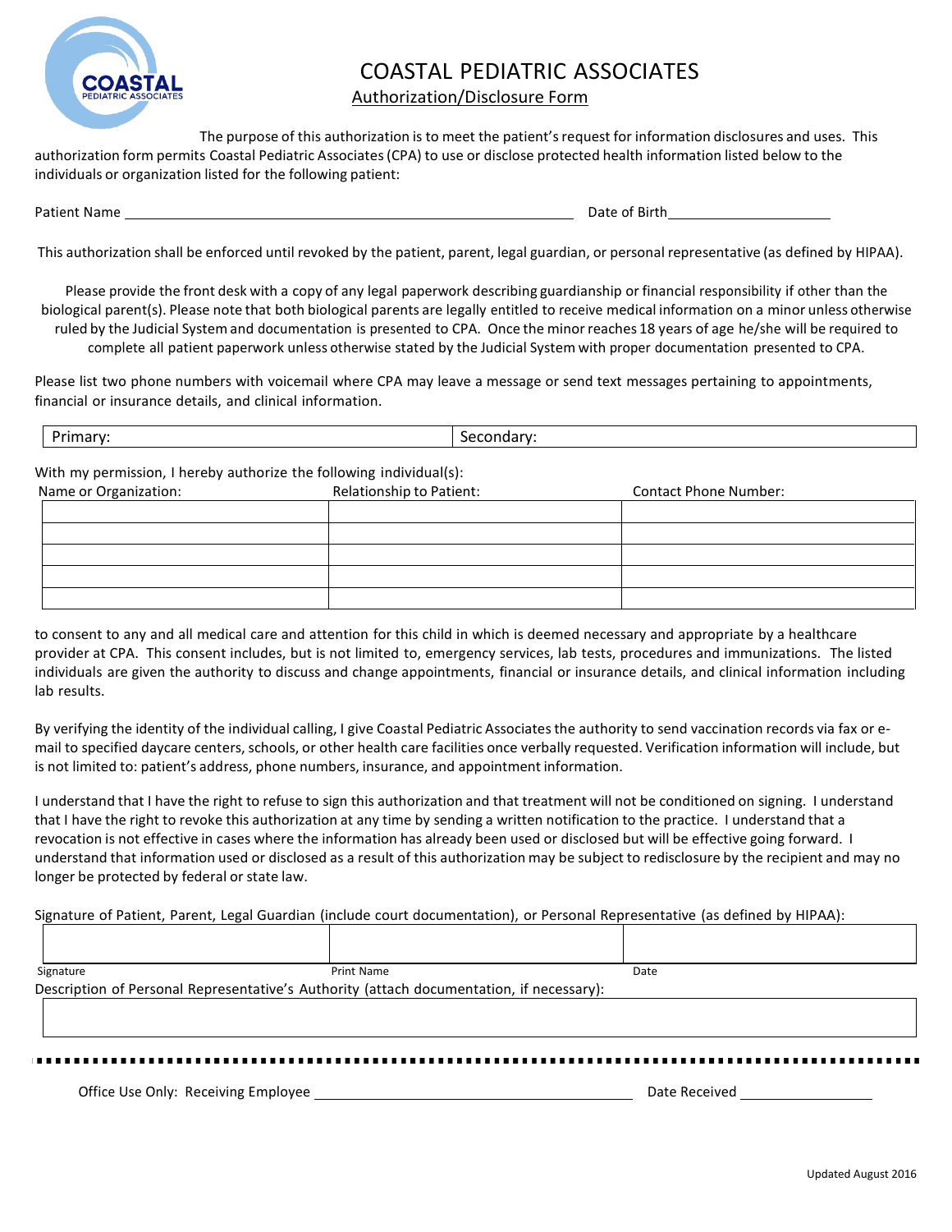

#### Authorization/Disclosure Form

The purpose of this authorization is to meet the patient's request for information disclosures and uses. This authorization form permits Coastal Pediatric Associates(CPA) to use or disclose protected health information listed below to the individuals or organization listed for the following patient:

Patient Name Date of Birth

This authorization shall be enforced until revoked by the patient, parent, legal guardian, or personal representative (as defined by HIPAA).

Please provide the front desk with a copy of any legal paperwork describing guardianship or financial responsibility if other than the biological parent(s). Please note that both biological parents are legally entitled to receive medical information on a minor unless otherwise ruled by the Judicial System and documentation is presented to CPA. Once the minorreaches 18 years of age he/she will be required to complete all patient paperwork unless otherwise stated by the Judicial System with proper documentation presented to CPA.

Please list two phone numbers with voicemail where CPA may leave a message or send text messages pertaining to appointments, financial or insurance details, and clinical information.

| -<br>יז<br>'חווכ<br>,,,,,a |  |
|----------------------------|--|
|----------------------------|--|

With my permission, I hereby authorize the following individual(s):

| Name or Organization: | Relationship to Patient: | <b>Contact Phone Number:</b> |
|-----------------------|--------------------------|------------------------------|
|                       |                          |                              |
|                       |                          |                              |
|                       |                          |                              |
|                       |                          |                              |
|                       |                          |                              |

to consent to any and all medical care and attention for this child in which is deemed necessary and appropriate by a healthcare provider at CPA. This consent includes, but is not limited to, emergency services, lab tests, procedures and immunizations. The listed individuals are given the authority to discuss and change appointments, financial or insurance details, and clinical information including lab results.

By verifying the identity of the individual calling, I give Coastal Pediatric Associatesthe authority to send vaccination records via fax or email to specified daycare centers, schools, or other health care facilities once verbally requested. Verification information will include, but is not limited to: patient's address, phone numbers, insurance, and appointment information.

I understand that I have the right to refuse to sign this authorization and that treatment will not be conditioned on signing. I understand that I have the right to revoke this authorization at any time by sending a written notification to the practice. I understand that a revocation is not effective in cases where the information has already been used or disclosed but will be effective going forward. I understand that information used or disclosed as a result of this authorization may be subject to redisclosure by the recipient and may no longer be protected by federal or state law.

Signature of Patient, Parent, Legal Guardian (include court documentation), or Personal Representative (as defined by HIPAA):

| Signature                                                                                | Print Name | Date |
|------------------------------------------------------------------------------------------|------------|------|
| Description of Personal Representative's Authority (attach documentation, if necessary): |            |      |
|                                                                                          |            |      |
|                                                                                          |            |      |

Office Use Only: Receiving Employee Date Received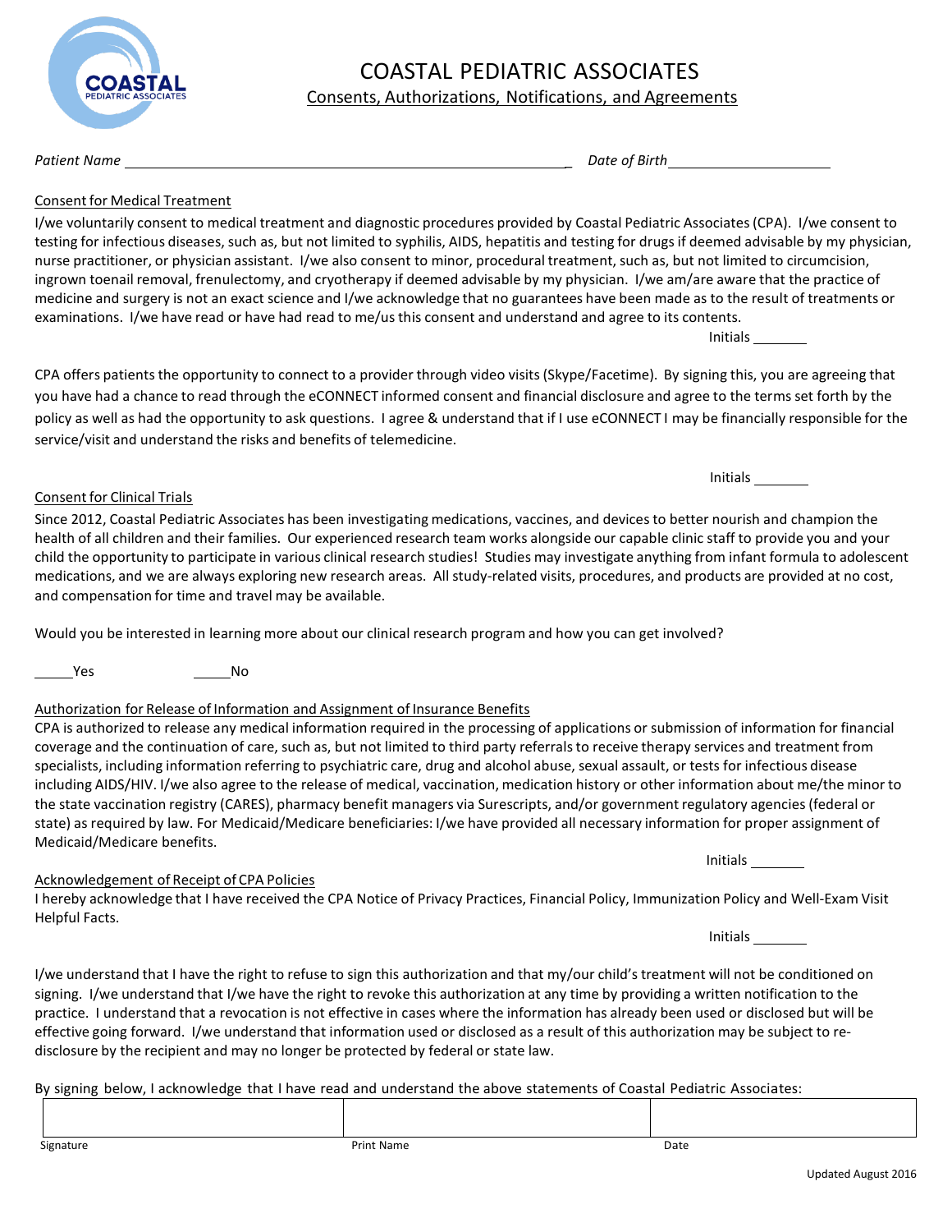#### Consents, Authorizations, Notifications, and Agreements

*Patient Name \_ Date of Birth*

#### Consent for Medical Treatment

I/we voluntarily consent to medical treatment and diagnostic procedures provided by Coastal Pediatric Associates(CPA). I/we consent to testing for infectious diseases, such as, but not limited to syphilis, AIDS, hepatitis and testing for drugsif deemed advisable by my physician, nurse practitioner, or physician assistant. I/we also consent to minor, procedural treatment, such as, but not limited to circumcision, ingrown toenail removal, frenulectomy, and cryotherapy if deemed advisable by my physician. I/we am/are aware that the practice of medicine and surgery is not an exact science and I/we acknowledge that no guarantees have been made as to the result of treatments or examinations. I/we have read or have had read to me/usthis consent and understand and agree to its contents. Initials

CPA offers patients the opportunity to connect to a provider through video visits (Skype/Facetime). By signing this, you are agreeing that you have had a chance to read through the eCONNECT informed consent and financial disclosure and agree to the terms set forth by the policy as well as had the opportunity to ask questions. I agree & understand that if I use eCONNECT I may be financially responsible for the service/visit and understand the risks and benefits of telemedicine.

Since 2012, Coastal Pediatric Associates has been investigating medications, vaccines, and devicesto better nourish and champion the health of all children and their families. Our experienced research team works alongside our capable clinic staff to provide you and your child the opportunity to participate in various clinical research studies! Studies may investigate anything from infant formula to adolescent medications, and we are always exploring new research areas. All study-related visits, procedures, and products are provided at no cost, and compensation for time and travel may be available.

Would you be interested in learning more about our clinical research program and how you can get involved?

Yes No

Consent for Clinical Trials

#### Authorization for Release of Information and Assignment of Insurance Benefits

| CPA is authorized to release any medical information required in the processing of applications or submission of information for financial |
|--------------------------------------------------------------------------------------------------------------------------------------------|
| coverage and the continuation of care, such as, but not limited to third party referrals to receive therapy services and treatment from    |
| specialists, including information referring to psychiatric care, drug and alcohol abuse, sexual assault, or tests for infectious disease  |
| including AIDS/HIV. I/we also agree to the release of medical, vaccination, medication history or other information about me/the minor to  |
| the state vaccination registry (CARES), pharmacy benefit managers via Surescripts, and/or government regulatory agencies (federal or       |
| state) as required by law. For Medicaid/Medicare beneficiaries: I/we have provided all necessary information for proper assignment of      |
| Medicaid/Medicare benefits.                                                                                                                |

#### Acknowledgement of Receipt of CPA Policies

I hereby acknowledge that I have received the CPA Notice of Privacy Practices, Financial Policy, Immunization Policy and Well-Exam Visit Helpful Facts. Initials

I/we understand that I have the right to refuse to sign this authorization and that my/our child's treatment will not be conditioned on signing. I/we understand that I/we have the right to revoke this authorization at any time by providing a written notification to the practice. I understand that a revocation is not effective in cases where the information has already been used or disclosed but will be effective going forward. I/we understand that information used or disclosed as a result of this authorization may be subject to redisclosure by the recipient and may no longer be protected by federal or state law.

By signing below, I acknowledge that I have read and understand the above statements of Coastal Pediatric Associates:



Initials

Initials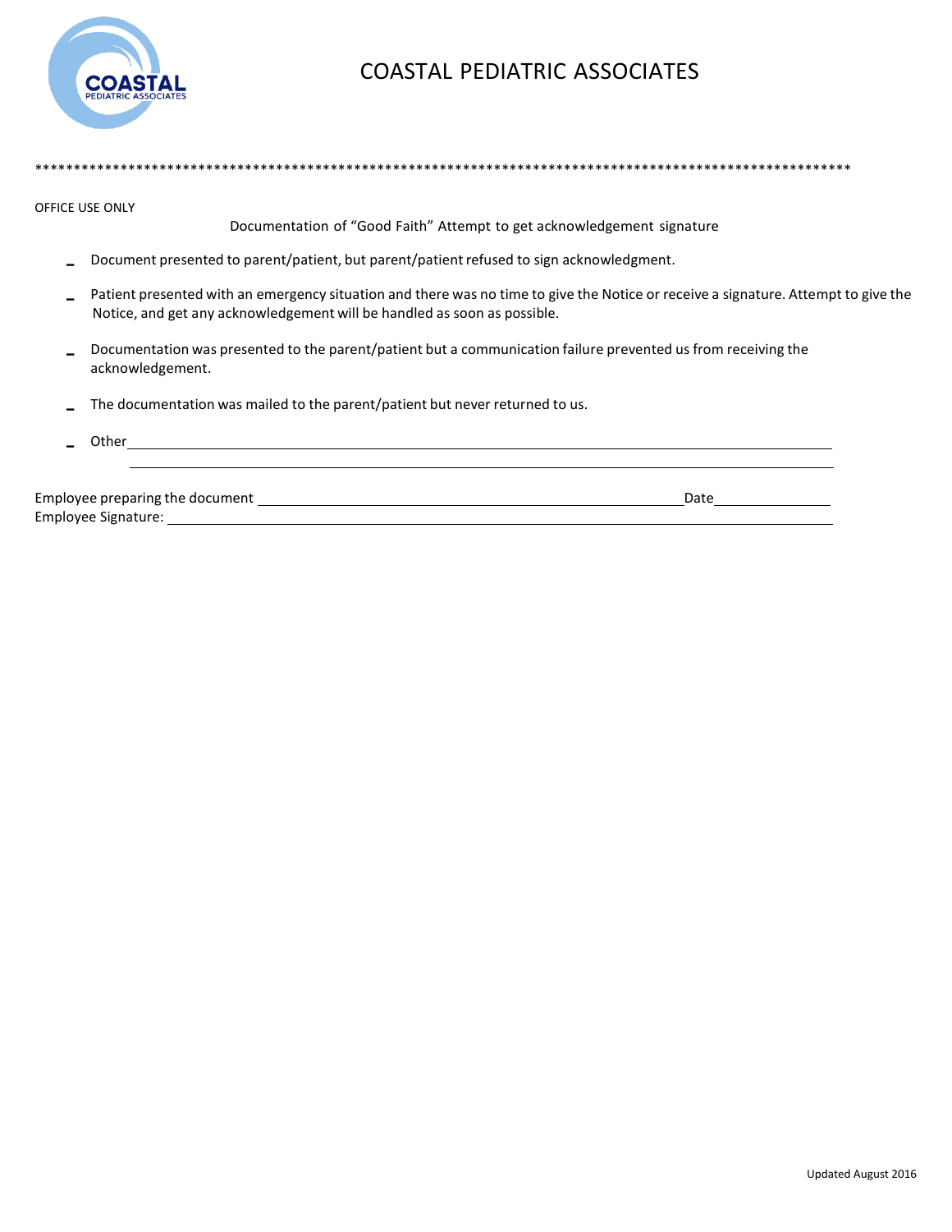

\*\*\*\*\*\*\*\*\*\*\*\*\*\*\*\*\*\*\*\*\*\*\*\*\*\*\*\*\*\*\*\*\*\*\*\*\*\*\*\*\*\*\*\*\*\*\*\*\*\*\*\*\*\*\*\*\*\*\*\*\*\*\*\*\*\*\*\*\*\*\*\*\*\*\*\*\*\*\*\*\*\*\*\*\*\*\*\*\*\*\*\*\*\*\*\*\*\*\*\*\*\*\*\*\*

OFFICE USE ONLY

Documentation of "Good Faith" Attempt to get acknowledgement signature

- Document presented to parent/patient, but parent/patient refused to sign acknowledgment.
- Patient presented with an emergency situation and there was no time to give the Notice or receive a signature. Attempt to give the Notice, and get any acknowledgement will be handled as soon as possible.
- Documentation was presented to the parent/patient but a communication failure prevented us from receiving the acknowledgement.
- The documentation was mailed to the parent/patient but never returned to us.
- Other **contract of the contract of the contract of the contract of the contract of the contract of the contract of the contract of the contract of the contract of the contract of the contract of the contract of the contrac** Employee preparing the document Date

Employee Signature: